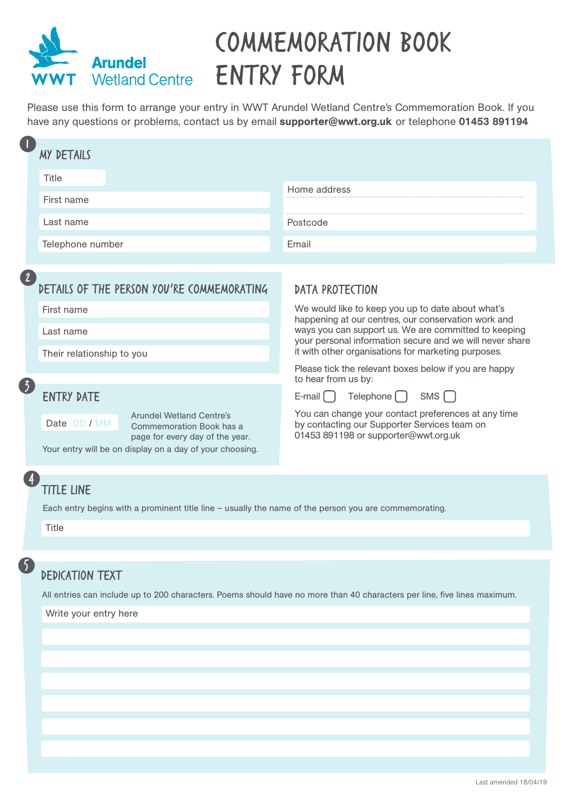

## Commemoration Book Wetland Centre **ENTRY FORM**

Please use this form to arrange your entry in WWT Arundel Wetland Centre's Commemoration Book. If you have any questions or problems, contact us by email supporter@wwt.org.uk or telephone 01453 891194

|                           | <b>MY DETAILS</b>                                                                                                                                                                               |                                                                                                                                                                                                                                |  |  |
|---------------------------|-------------------------------------------------------------------------------------------------------------------------------------------------------------------------------------------------|--------------------------------------------------------------------------------------------------------------------------------------------------------------------------------------------------------------------------------|--|--|
|                           | Title                                                                                                                                                                                           | Home address                                                                                                                                                                                                                   |  |  |
|                           | First name                                                                                                                                                                                      | Postcode                                                                                                                                                                                                                       |  |  |
|                           | Last name                                                                                                                                                                                       |                                                                                                                                                                                                                                |  |  |
|                           | Telephone number                                                                                                                                                                                | Email                                                                                                                                                                                                                          |  |  |
|                           | DETAILS OF THE PERSON YOU'RE COMMEMORATING<br>First name                                                                                                                                        | <b>DATA PROTECTION</b><br>We would like to keep you up to date about what's                                                                                                                                                    |  |  |
|                           | Last name<br>Their relationship to you                                                                                                                                                          | happening at our centres, our conservation work and<br>ways you can support us. We are committed to keeping<br>your personal information secure and we will never share<br>it with other organisations for marketing purposes. |  |  |
| $\overline{\mathfrak{Z}}$ |                                                                                                                                                                                                 | Please tick the relevant boxes below if you are happy<br>to hear from us by:                                                                                                                                                   |  |  |
|                           | <b>ENTRY DATE</b><br><b>Arundel Wetland Centre's</b><br>Date DD / MM<br>Commemoration Book has a<br>page for every day of the year.<br>Your entry will be on display on a day of your choosing. | SMS<br>Telephone [ ]<br>E-mail $\begin{bmatrix} \end{bmatrix}$<br>You can change your contact preferences at any time<br>by contacting our Supporter Services team on<br>01453 891198 or supporter@wwt.org.uk                  |  |  |
| (4)                       | <b>TITLE LINE</b><br>Each entry begins with a prominent title line - usually the name of the person you are commemorating.<br>Title                                                             |                                                                                                                                                                                                                                |  |  |
| 5                         |                                                                                                                                                                                                 |                                                                                                                                                                                                                                |  |  |
|                           | <b>DEDICATION TEXT</b>                                                                                                                                                                          |                                                                                                                                                                                                                                |  |  |
|                           | All entries can include up to 200 characters. Poems should have no more than 40 characters per line, five lines maximum.                                                                        |                                                                                                                                                                                                                                |  |  |

Write your entry here